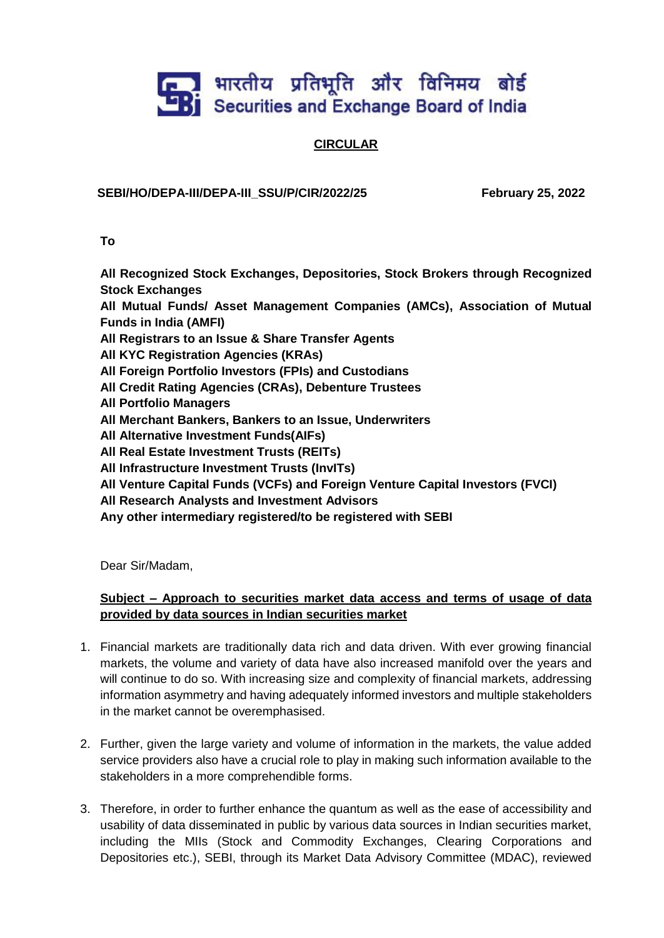## **End** भारतीय प्रतिभूति और विनिमय बोर्ड<br><u>B</u>j Securities and Exchange Board of India

## **CIRCULAR**

## **SEBI/HO/DEPA-III/DEPA-III\_SSU/P/CIR/2022/25 February 25, 2022**

**To**

**All Recognized Stock Exchanges, Depositories, Stock Brokers through Recognized Stock Exchanges**

**All Mutual Funds/ Asset Management Companies (AMCs), Association of Mutual Funds in India (AMFI)**

- **All Registrars to an Issue & Share Transfer Agents**
- **All KYC Registration Agencies (KRAs)**
- **All Foreign Portfolio Investors (FPIs) and Custodians**
- **All Credit Rating Agencies (CRAs), Debenture Trustees**
- **All Portfolio Managers**
- **All Merchant Bankers, Bankers to an Issue, Underwriters**
- **All Alternative Investment Funds(AIFs)**
- **All Real Estate Investment Trusts (REITs)**
- **All Infrastructure Investment Trusts (InvITs)**
- **All Venture Capital Funds (VCFs) and Foreign Venture Capital Investors (FVCI)**
- **All Research Analysts and Investment Advisors**
- **Any other intermediary registered/to be registered with SEBI**

Dear Sir/Madam,

## **Subject – Approach to securities market data access and terms of usage of data provided by data sources in Indian securities market**

- 1. Financial markets are traditionally data rich and data driven. With ever growing financial markets, the volume and variety of data have also increased manifold over the years and will continue to do so. With increasing size and complexity of financial markets, addressing information asymmetry and having adequately informed investors and multiple stakeholders in the market cannot be overemphasised.
- 2. Further, given the large variety and volume of information in the markets, the value added service providers also have a crucial role to play in making such information available to the stakeholders in a more comprehendible forms.
- 3. Therefore, in order to further enhance the quantum as well as the ease of accessibility and usability of data disseminated in public by various data sources in Indian securities market, including the MIIs (Stock and Commodity Exchanges, Clearing Corporations and Depositories etc.), SEBI, through its Market Data Advisory Committee (MDAC), reviewed